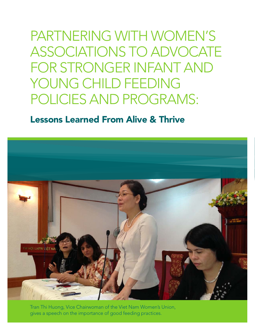Partnering with Women's Associations to Advocate for Stronger Infant and YOUNG CHILD FEEDING Policies and Programs:

### Lessons Learned From Alive & Thrive



Tran Thi Huong, Vice Chairwoman of the Viet Nam Women's Union, gives a speech on the importance of good feeding practices.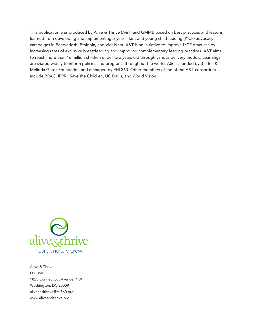This publication was produced by Alive & Thrive (A&T) and GMMB based on best practices and lessons learned from developing and implementing 5-year infant and young child feeding (IYCF) advocacy campaigns in Bangladesh, Ethiopia, and Viet Nam. A&T is an initiative to improve IYCF practices by increasing rates of exclusive breastfeeding and improving complementary feeding practices. A&T aims to reach more than 16 million children under two years old through various delivery models. Learnings are shared widely to inform policies and programs throughout the world. A&T is funded by the Bill & Melinda Gates Foundation and managed by FHI 360. Other members of the of the A&T consortium include BRAC, IFPRI, Save the Children, UC Davis, and World Vision.



Alive & Thrive FHI 360 1825 Connecticut Avenue, NW Washington, DC 20009 aliveandthrive@fhi360.org www.aliveandthrive.org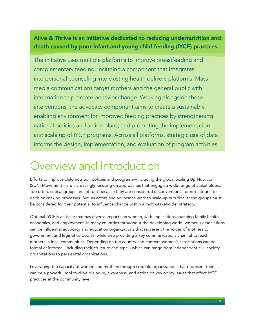### Alive & Thrive is an initiative dedicated to reducing undernutrition and death caused by poor infant and young child feeding (IYCF) practices.

The initiative uses multiple platforms to improve breastfeeding and complementary feeding, including a component that integrates interpersonal counseling into existing health delivery platforms. Mass media communications target mothers and the general public with information to promote behavior change. Working alongside these interventions, the advocacy component aims to create a sustainable enabling environment for improved feeding practices by strengthening national policies and action plans, and promoting the implementation and scale up of IYCF programs. Across all platforms, strategic use of data informs the design, implementation, and evaluation of program activities.

## Overview and Introduction

Efforts to improve child nutrition policies and programs—including the global Scaling Up Nutrition (SUN) Movement—are increasingly focusing on approaches that engage a wide-range of stakeholders. Too often, critical groups are left out because they are considered unconventional, or not integral to decision-making processes. But, as actors and advocates work to scale-up nutrition, these groups must be considered for their potential to influence change within a multi-stakeholder strategy.

Optimal IYCF is an issue that has diverse impacts on women, with implications spanning family health, economics, and employment. In many countries throughout the developing world, women's associations can be influential advocacy and education organizations that represent the voices of mothers to government and legislative bodies, while also providing a key communications channel to reach mothers in local communities. Depending on the country and context, women's associations can be formal or informal, including their structure and type—which can range from independent civil society organizations to para-statal organizations.

Leveraging the capacity of women and mothers through credible organizations that represent them can be a powerful tool to drive dialogue, awareness, and action on key policy issues that affect IYCF practices at the community level.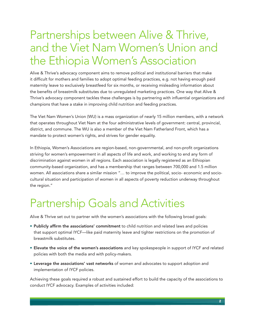### Partnerships between Alive & Thrive, and the Viet Nam Women's Union and the Ethiopia Women's Association

Alive & Thrive's advocacy component aims to remove political and institutional barriers that make it difficult for mothers and families to adopt optimal feeding practices, e.g. not having enough paid maternity leave to exclusively breastfeed for six months, or receiving misleading information about the benefits of breastmilk substitutes due to unregulated marketing practices. One way that Alive & Thrive's advocacy component tackles these challenges is by partnering with influential organizations and champions that have a stake in improving child nutrition and feeding practices.

The Viet Nam Women's Union (WU) is a mass organization of nearly 15 million members, with a network that operates throughout Viet Nam at the four administrative levels of government: central, provincial, district, and commune. The WU is also a member of the Viet Nam Fatherland Front, which has a mandate to protect women's rights, and strives for gender equality.

In Ethiopia, Women's Associations are region-based, non-governmental, and non-profit organizations striving for women's empowerment in all aspects of life and work, and working to end any form of discrimination against women in all regions. Each association is legally registered as an Ethiopian community-based organization, and has a membership that ranges between 700,000 and 1.5 million women. All associations share a similar mission "… to improve the political, socio- economic and sociocultural situation and participation of women in all aspects of poverty reduction underway throughout the region."

## Partnership Goals and Activities

Alive & Thrive set out to partner with the women's associations with the following broad goals:

- Publicly affirm the associations' commitment to child nutrition and related laws and policies that support optimal IYCF—like paid maternity leave and tighter restrictions on the promotion of breastmilk substitutes.
- Elevate the voice of the women's associations and key spokespeople in support of IYCF and related policies with both the media and with policy-makers.
- • Leverage the associations' vast networks of women and advocates to support adoption and implementation of IYCF policies.

Achieving these goals required a robust and sustained effort to build the capacity of the associations to conduct IYCF advocacy. Examples of activities included: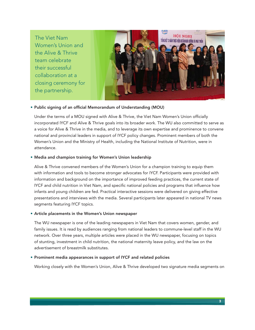The Viet Nam Women's Union and the Alive & Thrive team celebrate their successful collaboration at a closing ceremony for the partnership.



#### • Public signing of an official Memorandum of Understanding (MOU)

Under the terms of a MOU signed with Alive & Thrive, the Viet Nam Women's Union officially incorporated IYCF and Alive & Thrive goals into its broader work. The WU also committed to serve as a voice for Alive & Thrive in the media, and to leverage its own expertise and prominence to convene national and provincial leaders in support of IYCF policy changes. Prominent members of both the Women's Union and the Ministry of Health, including the National Institute of Nutrition, were in attendance.

#### • Media and champion training for Women's Union leadership

Alive & Thrive convened members of the Women's Union for a champion training to equip them with information and tools to become stronger advocates for IYCF. Participants were provided with information and background on the importance of improved feeding practices, the current state of IYCF and child nutrition in Viet Nam, and specific national policies and programs that influence how infants and young children are fed. Practical interactive sessions were delivered on giving effective presentations and interviews with the media. Several participants later appeared in national TV news segments featuring IYCF topics.

#### • Article placements in the Women's Union newspaper

The WU newspaper is one of the leading newspapers in Viet Nam that covers women, gender, and family issues. It is read by audiences ranging from national leaders to commune-level staff in the WU network. Over three years, multiple articles were placed in the WU newspaper, focusing on topics of stunting, investment in child nutrition, the national maternity leave policy, and the law on the advertisement of breastmilk substitutes.

#### • Prominent media appearances in support of IYCF and related policies

Working closely with the Women's Union, Alive & Thrive developed two signature media segments on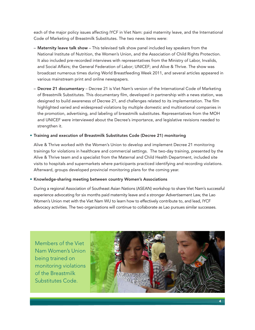each of the major policy issues affecting IYCF in Viet Nam: paid maternity leave, and the International Code of Marketing of Breastmilk Substitutes. The two news items were:

- Maternity leave talk show This televised talk show panel included key speakers from the National Institute of Nutrition, the Women's Union, and the Association of Child Rights Protection. It also included pre-recorded interviews with representatives from the Ministry of Labor, Invalids, and Social Affairs; the General Federation of Labor; UNICEF; and Alive & Thrive. The show was broadcast numerous times during World Breastfeeding Week 2011, and several articles appeared in various mainstream print and online newspapers.
- Decree 21 documentary Decree 21 is Viet Nam's version of the International Code of Marketing of Breastmilk Substitutes. This documentary film, developed in partnership with a news station, was designed to build awareness of Decree 21, and challenges related to its implementation. The film highlighted varied and widespread violations by multiple domestic and multinational companies in the promotion, advertising, and labeling of breastmilk substitutes. Representatives from the MOH and UNICEF were interviewed about the Decree's importance, and legislative revisions needed to strengthen it.

#### • Training and execution of Breastmilk Substitutes Code (Decree 21) monitoring

Alive & Thrive worked with the Women's Union to develop and implement Decree 21 monitoring trainings for violations in healthcare and commercial settings. The two-day training, presented by the Alive & Thrive team and a specialist from the Maternal and Child Health Department, included site visits to hospitals and supermarkets where participants practiced identifying and recording violations. Afterward, groups developed provincial monitoring plans for the coming year.

#### • Knowledge-sharing meeting between country Women's Associations

During a regional Association of Southeast Asian Nations (ASEAN) workshop to share Viet Nam's successful experience advocating for six months paid maternity leave and a stronger Advertisement Law, the Lao Women's Union met with the Viet Nam WU to learn how to effectively contribute to, and lead, IYCF advocacy activities. The two organizations will continue to collaborate as Lao pursues similar successes.

Members of the Viet Nam Women's Union being trained on monitoring violations of the Breastmilk Substitutes Code.

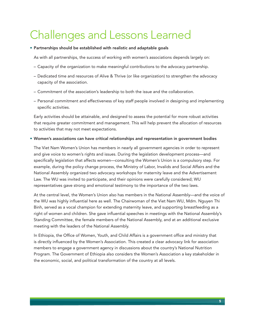# Challenges and Lessons Learned

#### • Partnerships should be established with realistic and adaptable goals

As with all partnerships, the success of working with women's associations depends largely on:

- Capacity of the organization to make meaningful contributions to the advocacy partnership.
- Dedicated time and resources of Alive & Thrive (or like organization) to strengthen the advocacy capacity of the association.
- Commitment of the association's leadership to both the issue and the collaboration.
- Personal commitment and effectiveness of key staff people involved in designing and implementing specific activities.

Early activities should be attainable, and designed to assess the potential for more robust activities that require greater commitment and management. This will help prevent the allocation of resources to activities that may not meet expectations.

#### • Women's associations can have critical relationships and representation in government bodies

The Viet Nam Women's Union has members in nearly all government agencies in order to represent and give voice to women's rights and issues. During the legislation development process—and specifically legislation that affects women—consulting the Women's Union is a compulsory step. For example, during the policy change process, the Ministry of Labor, Invalids and Social Affairs and the National Assembly organized two advocacy workshops for maternity leave and the Advertisement Law. The WU was invited to participate, and their opinions were carefully considered; WU representatives gave strong and emotional testimony to the importance of the two laws.

At the central level, the Women's Union also has members in the National Assembly—and the voice of the WU was highly influential here as well. The Chairwoman of the Viet Nam WU, Mdm. Nguyen Thi Binh, served as a vocal champion for extending maternity leave, and supporting breastfeeding as a right of women and children. She gave influential speeches in meetings with the National Assembly's Standing Committee, the female members of the National Assembly, and at an additional exclusive meeting with the leaders of the National Assembly.

In Ethiopia, the Office of Women, Youth, and Child Affairs is a government office and ministry that is directly influenced by the Women's Association. This created a clear advocacy link for association members to engage a government agency in discussions about the country's National Nutrition Program. The Government of Ethiopia also considers the Women's Association a key stakeholder in the economic, social, and political transformation of the country at all levels.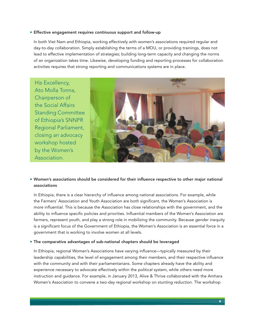#### • Effective engagement requires continuous support and follow-up

In both Viet Nam and Ethiopia, working effectively with women's associations required regular and day-to-day collaboration. Simply establishing the terms of a MOU, or providing trainings, does not lead to effective implementation of strategies; building long-term capacity and changing the norms of an organization takes time. Likewise, developing funding and reporting processes for collaboration activities requires that strong reporting and communications systems are in place.

His Excellency, Ato Molla Tonna, Chairperson of the Social Affairs Standing Committee of Ethiopia's SNNPR Regional Parliament, closing an advocacy workshop hosted by the Women's Association.



#### • Women's associations should be considered for their influence respective to other major national associations

In Ethiopia, there is a clear hierarchy of influence among national associations. For example, while the Farmers' Association and Youth Association are both significant, the Women's Association is more influential. This is because the Association has close relationships with the government, and the ability to influence specific policies and priorities. Influential members of the Women's Association are farmers, represent youth, and play a strong role in mobilizing the community. Because gender inequity is a significant focus of the Government of Ethiopia, the Women's Association is an essential force in a government that is working to involve women at all levels.

#### • The comparative advantages of sub-national chapters should be leveraged

In Ethiopia, regional Women's Associations have varying influence—typically measured by their leadership capabilities, the level of engagement among their members, and their respective influence with the community and with their parliamentarians. Some chapters already have the ability and experience necessary to advocate effectively within the political system, while others need more instruction and guidance. For example, in January 2013, Alive & Thrive collaborated with the Amhara Women's Association to convene a two-day regional workshop on stunting reduction. The workshop